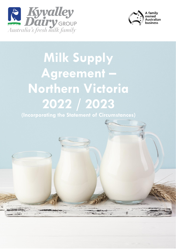



富

# **Milk Supply Agreement – Northern Victoria 2022 / 2023**

**(Incorporating the Statement of Circumstances)**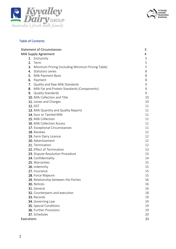



# Table of Contents

| <b>Statement of Circumstances</b>                    | 3  |
|------------------------------------------------------|----|
| Milk Supply Agreement                                | 4  |
| 1. Exclusivity                                       | 5  |
| 2. Term                                              | 5  |
| 3. Minimum Pricing (including Minimum Pricing Table) | 5  |
| 4. Statutory Levies                                  | 8  |
| Milk Payment Basis<br>5.                             | 8  |
| Payment<br>6.                                        | 8  |
| 7. Quality and Raw Milk Standards                    | 9  |
| 8. Milk Fat and Protein Standards (Components)       | 9  |
| 9. Quality Standards                                 | 9  |
| 10. Milk Collection and Title                        | 10 |
| 11. Levies and Charges                               | 10 |
| <b>12. GST</b>                                       | 11 |
| 13. Milk Quantity and Quality Reports                | 11 |
| 14. Sour or Tainted Milk                             | 11 |
| 15. Milk Collection                                  | 11 |
| <b>16. Milk Collection Access</b>                    | 11 |
| 17. Exceptional Circumstances                        | 11 |
| 18. Reviews                                          | 12 |
| 19. Farm Dairy Licence                               | 12 |
| 20. Advertisement                                    | 12 |
| 21. Termination                                      | 12 |
| 22. Effect of Termination                            | 13 |
| 23. Dispute Resolution Procedure                     | 13 |
| 24. Confidentiality                                  | 14 |
| 25. Warranties                                       | 15 |
| 26. Indemnity                                        | 15 |
| 27. Insurance                                        | 15 |
| 28. Force Majeure                                    | 15 |
| 29. Relationship between the Parties                 | 16 |
| 30. Notices                                          | 16 |
| 31. General                                          | 16 |
| 32. Counterparts and execution                       | 18 |
| 33. Records                                          | 19 |
| 34. Governing Law                                    | 19 |
| 35. Special Conditions                               | 19 |
| 36. Further Provisions                               | 19 |
| 37. Schedules                                        | 20 |
| <b>Executions</b>                                    | 21 |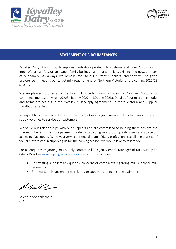



# **STATEMENT OF CIRCUMSTANCES**

Kyvalley Dairy Group proudly supplies fresh dairy products to customers all over Australia and into We are an Australian owned family business, and our suppliers, existing and new, are part of our family. As always, we remain loyal to our current suppliers, and they will be given preference in meeting our target milk requirement for Northern Victoria for the coming 2022/23 season.

We are pleased to offer a competitive milk price high quality flat milk in Northern Victoria for commencement supply year 22/23 (1st July 2022 to 30 June 2023). Details of our milk price model and terms are set out in the Kyvalley Milk Supply Agreement Northern Victoria and Supplier Handbook attached.

In respect to our desired volumes for the 2022/23 supply year, we are looking to maintain current supply volumes to service our customers.

We value our relationships with our suppliers and are committed to helping them achieve the maximum benefits from our payment model by providing support on quality issues and advice on achieving flat supply. We have a very experienced team of dairy professionals available to assist. If you are interested in supplying us for the coming season, we would love to talk to you.

For all enquiries regarding milk supply contact Mike Leijen, General Manager of Milk Supply on 0447785821 or [mike.leijen@kyvalleydairy.com.au.](mailto:mike.leijen@kyvalleydairy.com.au) This includes;

- For existing suppliers any queries, concerns or complaints regarding milk supply or milk payments
- For new supply any enquiries relating to supply including income estimates

Michelle Sonnenschein CEO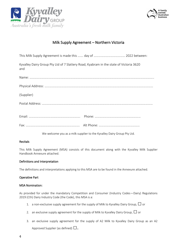



# Milk Supply Agreement – Northern Victoria

| Kyvalley Dairy Group Pty Ltd of 7 Slattery Road, Kyabram in the state of Victoria 3620<br>and |  |
|-----------------------------------------------------------------------------------------------|--|
|                                                                                               |  |
|                                                                                               |  |
| (Supplier)                                                                                    |  |
|                                                                                               |  |
|                                                                                               |  |
|                                                                                               |  |

We welcome you as a milk supplier to the Kyvalley Dairy Group Pty Ltd.

## Recitals

This Milk Supply Agreement (MSA) consists of this document along with the Kyvalley Milk Supplier Handbook Annexure attached.

#### Definitions and Interpretation

The definitions and interpretations applying to this MSA are to be found in the Annexure attached.

#### Operative Part

#### MSA Nomination:

As provided for under the mandatory Competition and Consumer (Industry Codes—Dairy) Regulations 2019 (Cth) Dairy Industry Code (the Code), this MSA is a:

- 1. a non-exclusive supply agreement for the supply of Milk to Kyvalley Dairy Group,  $\Box$  or
- 2. an exclusive supply agreement for the supply of Milk to Kyvalley Dairy Group,  $\Box$  or
- 3. an exclusive supply agreement for the supply of A2 Milk to Kyvalley Dairy Group as an A2

Approved Supplier (as defined)  $\square$ .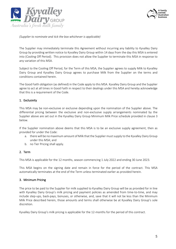



*(Supplier to nominate and tick the box whichever is applicable)*

The Supplier may immediately terminate this Agreement without incurring any liability to Kyvalley Dairy Group by providing written notice to Kyvalley Dairy Group within 14 days from the day this MSA is entered into (Cooling Off Period). This provision does not allow the Supplier to terminate this MSA in response to any variation of this MSA.

Subject to the Cooling Off Period, for the Term of this MSA, the Supplier agrees to supply Milk to Kyvalley Dairy Group and Kyvalley Dairy Group agrees to purchase Milk from the Supplier on the terms and conditions contained herein.

The Good Faith obligation (as defined) in the Code apply to this MSA. Kyvalley Dairy Group and the Supplier agree to act at all times in Good Faith in respect to their dealings under this MSA and hereby acknowledge that this is a requirement of the Code.

## 1. Exclusivity

This MSA may be non-exclusive or exclusive depending upon the nomination of the Supplier above. The differential pricing between the exclusive and non-exclusive supply arrangements nominated by the Supplier above are set out in the Kyvalley Dairy Group Minimum Milk Price schedule provided in clause 3 below.

If the Supplier nomination above deems that this MSA is to be an exclusive supply agreement, then as provided for under the Code:

- a. there will be no maximum amount of Milk that the Supplier must supply to the Kyvalley Dairy Group under this MSA; and
- b. no Tier Pricing shall apply.

#### 2. Term

This MSA is applicable for the 12 months, season commencing 1 July 2022 and ending 30 June 2023.

This MSA begins on the signing date and remain in force for the period of the contract. This MSA automatically terminates at the end of the Term unless terminated earlier as provided herein.

#### 3. Minimum Pricing

The price to be paid to the Supplier for milk supplied to Kyvalley Dairy Group will be as provided for in line with Kyvalley Dairy Group's milk pricing and payment policies as amended from time-to-time, and may include step-ups, back-pays, bonuses, or otherwise, and, save that it will not be less than the Minimum Milk Price described herein, those amounts and terms shall otherwise be at Kyvalley Dairy Group's sole discretion.

Kyvalley Dairy Group's milk pricing is applicable for the 12-months for the period of this contract.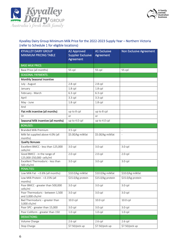



# Kyvalley Dairy Group Minimum Milk Price for the 2022-2023 Supply Year – Northern Victoria (refer to Schedule 1 for eligible locations)

| <b>KYVALLEY DAIRY GROUP</b><br><b>MINIMUM PRICING TABLE</b> | <b>A2 Approved</b><br><b>Supplier Exclusive</b><br>Agreement | <b>A1 Exclusive</b><br>Agreement | <b>Non Exclusive Agreement</b> |
|-------------------------------------------------------------|--------------------------------------------------------------|----------------------------------|--------------------------------|
| <b>BASE MILK PRICE:</b>                                     |                                                              |                                  |                                |
| Base Price (all months)                                     | 55 cpl                                                       | 55 cpl                           | 55 cpl                         |
| <b>SEASONAL PAYMENTS:</b>                                   |                                                              |                                  |                                |
| Monthly Seasonal Incentive                                  |                                                              |                                  |                                |
| July - August                                               | $2.8$ cpl                                                    | $2.8$ cpl                        |                                |
| January                                                     | $1.8$ cpl                                                    | $1.8$ cpl                        |                                |
| February - March                                            | $6.3$ cpl                                                    | $6.3$ cpl                        |                                |
| April                                                       | 3.3 cpl                                                      | 3.3 cpl                          |                                |
| May - June                                                  | $1.8$ cpl                                                    | $1.8$ cpl                        |                                |
| And                                                         |                                                              |                                  |                                |
| Flat milk incentive (all months)                            | up to 8 cpl                                                  | up to 8 cpl                      |                                |
| <b>Or</b>                                                   | or                                                           | or                               |                                |
| Seasonal Milk Incentive (all months)                        | up to 4.0 cpl                                                | up to 4.0 cpl                    |                                |
| <b>BONUSES:</b>                                             |                                                              |                                  |                                |
| <b>Branded Milk Premium</b>                                 | 3.5 cpl                                                      |                                  |                                |
| Milk fat supplied above 4.0% (all                           | \$5.00/kg milkfat                                            | \$5.00/kg milkfat                | $\overline{a}$                 |
| months)                                                     |                                                              |                                  |                                |
| <b>Quality Bonuses</b>                                      |                                                              |                                  |                                |
| Excellent BMCC - less than 125,000<br>cells/ml              | $3.0$ cpl                                                    | 3.0 cpl                          | $3.0$ cpl                      |
| Good BMCC - in the range of                                 | $2.0$ cpl                                                    | $2.0$ cpl                        | $2.0$ cpl                      |
| 125,000-250,000 cells/ml                                    |                                                              |                                  |                                |
| Excellent Thermoduric - less than                           | 3.0 cpl                                                      | 3.0 cpl                          | $3.0$ cpl                      |
| 500 cfu/ml<br><b>PENALTIES:</b>                             |                                                              |                                  |                                |
| Low Milk Fat - <3.6% (all months)                           | \$10.0/kg milkfat                                            | \$10.0/kg milkfat                | \$10.0/kg milkfat              |
| Low Milk Protein - < 3.15% (all                             | \$15.0/kg protein                                            | \$15.0/kg protein                | \$15.0/kg protein              |
| months)                                                     |                                                              |                                  |                                |
| Poor BMCC - greater than 500,000<br>cells/ml                | $3.0$ cpl                                                    | $3.0$ cpl                        | $3.0$ cpl                      |
| Poor Thermoduric - between 1,500<br>and 3,000 cfu/ml        | $3.0$ cpl                                                    | $3.0$ cpl                        | $3.0$ cpl                      |
| Bad Thermoduric - greater than<br>3,000 cfu/ml              | 10.0 cpl                                                     | 10.0 cpl                         | 10.0 cpl                       |
| Poor SPC - greater than 15,000                              | $3.0$ cpl                                                    | $3.0$ cpl                        | $3.0$ cpl                      |
| Poor Coliform - greater than 150                            | $1.0$ cpl                                                    | $1.0$ cpl                        | $1.0$ cpl                      |
| <b>DEDUCTIONS:</b>                                          |                                                              |                                  |                                |
| Volume Charge                                               | $2.6$ cpl                                                    | $2.6$ cpl                        | $2.6$ cpl                      |
| Stop Charge                                                 | \$7.50/pick up                                               | \$7.50/pick up                   | \$7.50/pick up                 |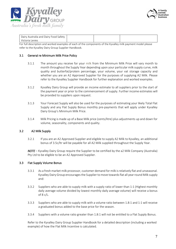



| Dairy Australia and Dairy Food Safety |  |  |
|---------------------------------------|--|--|
| Victoria Levies                       |  |  |

For full description and worked examples of each of the components of the Kyvalley milk payment model please refer to the Kyvalley Dairy Group Supplier Handbook.

## 3.1 General re Minimum Milk Price Policy

- 3.1.1 The amount you receive for your milk from the Minimum Milk Price will vary month to month throughout the Supply Year depending upon your particular milk supply curve, milk quality and butterfat/protein percentage, your volume, your vat storage capacity and whether you are an A2 Approved Supplier for the purposes of supplying A2 Milk. Please refer to the Kyvalley Supplier Handbook for further explanation and worked examples.
- 3.1.2 Kyvalley Dairy Group will provide an income estimate to all suppliers prior to the start of the payment year or prior to the commencement of supply. Further income estimates will be provided to suppliers upon request.
- 3.1.3 Your Forecast Supply will also be used for the purposes of estimating your likely Total Flat Supply and any Flat Supply Bonus monthly pre-payments that will apply under Kyvalley Dairy Group's Minimum Milk Price.
- 3.1.4 Milk Pricing is made up of a Base Milk price (cents/litre) plus adjustments up and down for volume, seasonality, components and quality.

# 3.2 A2 Milk Supply

3.2.1 If you are an A2 Approved Supplier and eligible to supply A2 Milk to Kyvalley, an additional bonus of 3.5c/ltr will be payable for all A2 Milk supplied throughout the Supply Year.

*NOTE* – Kyvalley Dairy Group require the Supplier to be certified by the a2 Milk Company (Australia) Pty Ltd to be eligible to be an A2 Approved Supplier.

# 3.3 Flat Supply Volume Bonus

- 3.3.1 As a fresh market milk processor, customer demand for milk is relatively flat and unseasonal. Kyvalley Dairy Group encourages the Supplier to move towards flat all year round Milk supply and:
- 3.3.2 Suppliers who are able to supply milk with a supply ratio of lower than 1:1 (Highest monthly daily average volume divided by lowest monthly daily average volume) will receive a bonus of 8 c/L.
- 3.3.3 Suppliers who are able to supply milk with a volume ratio between 1.8:1 and 1:1 will receive a graduated bonus added to the base price for the season.
- 3.3.4 Suppliers with a volume ratio greater than 1.8:1 will not be entitled to a Flat Supply Bonus.

Refer to the Kyvalley Dairy Group Supplier Handbook for a detailed description (including a worked example) of how the Flat Milk Incentive is calculated.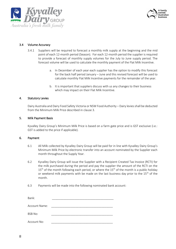



## 3.4 Volume Accuracy

- 3.4.1 Suppliers will be required to forecast a monthly milk supply at the beginning and the mid point of each 12-month period (Season). For each 12-month period the supplier is required to provide a forecast of monthly supply volumes for the July to June supply period. The forecast volume will be used to calculate the monthly payment of the Flat Milk Incentive.
	- a. In December of each year each supplier has the option to modify this forecast for the back half period January – June and this revised forecast will be used to calculate monthly Flat Milk Incentive payments for the remainder of the year.
	- b. It is important that suppliers discuss with us any changes to their business which may impact on their Flat Milk Incentive.

#### 4. Statutory Levies

Dairy Australia and Dairy Food Safety Victoria or NSW Food Authority – Dairy levies shall be deducted from the Minimum Milk Price described in clause 3.

#### 5. Milk Payment Basis

Kyvalley Dairy Group's Minimum Milk Price is based on a farm gate price and is GST exclusive (i.e.: GST is added to the price if applicable).

#### 6. Payment

- 6.1 All Milk collected by Kyvalley Dairy Group will be paid for in line with Kyvalley Dairy Group's Minimum Milk Price by electronic transfer into an account nominated by the Supplier each month throughout the Supply Year.
- 6.2 Kyvalley Dairy Group will issue the Supplier with a Recipient Created Tax Invoice (RCTI) for the milk purchased during the period and pay the supplier the amount of the RCTI on the  $15<sup>th</sup>$  of the month following each period, or where the  $15<sup>th</sup>$  of the month is a public holiday or weekend milk payments with be made on the last business day prior to the 15<sup>th</sup> of the month.
- 6.3 Payments will be made into the following nominated bank account:

| Bank:         |  |
|---------------|--|
| Account Name: |  |
| BSB No:       |  |
| Account No:   |  |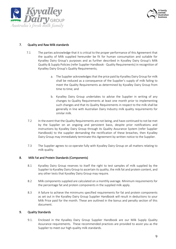



# 7. Quality and Raw Milk standards

- 7.1 The parties acknowledge that it is critical to the proper performance of this Agreement that the quality of Milk supplied hereunder be fit for human consumption and suitable for Kyvalley Dairy Group's purposes and as further described in Kyvalley Dairy Group's Milk Quality & Supply Policies (refer Supplier Handbook - Quality Requirements) in recognition of Kyvalley Dairy Group's Quality Requirements;
	- a. The Supplier acknowledges that the price paid by Kyvalley Dairy Group for milk shall be reduced as a consequence of the Supplier's supply of milk failing to meet the Quality Requirements as determined by Kyvalley Dairy Group from time to time; and
	- b. Kyvalley Dairy Group undertakes to advise the Supplier in writing of any changes to Quality Requirements at least one month prior to implementing such changes and that its Quality Requirements in respect to the milk shall be generally in line with Australian Dairy Industry milk quality requirements for similar milk.
- 7.2 In the event that the Quality Requirements are not being, and have continued to not be met by the Supplier on an ongoing and persistent basis, despite prior notifications and instructions by Kyvalley Dairy Group through its Quality Assurance System (refer Supplier Handbook) to the supplier demanding the rectification of these breaches, then Kyvalley Dairy Group may immediately terminate this Agreement by written notice to the Supplier.
- 7.3 The Supplier agrees to co-operate fully with Kyvalley Dairy Group on all matters relating to milk quality.

#### 8. Milk Fat and Protein Standards (Components)

- 8.1 Kyvalley Dairy Group reserves to itself the right to test samples of milk supplied by the Supplier to Kyvalley Dairy Group to ascertain its quality, the milk fat and protein content, and any other tests that Kyvalley Dairy Group may require.
- 8.2 Milk components supplied are calculated on a monthly average. Minimum requirements for the percentage fat and protein components in the supplied milk apply.
- 8.3 A failure to achieve the minimums specified requirements for fat and protein components as set out in the Kyvalley Dairy Group Supplier Handbook will result in deductions to your Milk Price paid for the month. These are outlined in the bonus and penalty section of this document.

# 9. Quality Standards

9.1. Enclosed in the Kyvalley Dairy Group Supplier Handbook are our Milk Supply Quality Assurance requirements. These recommended practices are provided to assist you as the Supplier to meet our high quality milk standards.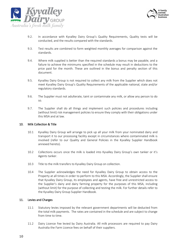



- 9.2. In accordance with Kyvalley Dairy Group's Quality Requirements, Quality tests will be conducted, and the results compared with the standards.
- 9.3. Test results are combined to form weighted monthly averages for comparison against the standards.
- 9.4. Where milk supplied is better than the required standards a bonus may be payable, and a failure to achieve the minimums specified in the schedule may result in deductions to the price paid for the month. These are outlined in the bonus and penalty section of this document.
- 9.5. Kyvalley Dairy Group is not required to collect any milk from the Supplier which does not meet Kyvalley Dairy Group's Quality Requirements of the applicable national, state and/or regulatory standards.
- 9.6. The Supplier must not adulterate, taint or contaminate any milk, or allow any person to do so.
- 9.7. The Supplier shall do all things and implement such policies and procedures including (without limit) risk management policies to ensure they comply with their obligations under this MSA and at law.

#### 10. Milk Collection & Title

- 10.1 Kyvalley Dairy Group will arrange to pick up all your milk from your nominated dairy and transport it to our processing facility except in circumstances where contaminated milk is involved (refer to our Quality and General Policies in the Kyvalley Supplier Handbook annexed hereto).
- 10.2 Collections occurs once the milk is loaded into Kyvalley Dairy Group's own tanker or it's Agents tanker.
- 10.3 Title to the milk transfers to Kyvalley Dairy Group on collection.
- 10.4 The Supplier acknowledges the need for Kyvalley Dairy Group to obtain access to the Property at all times in order to perform to this MSA. Accordingly, the Supplier shall ensure that Kyvalley Dairy Group, its employees and agents, have free and unrestricted access to the Supplier's dairy and dairy farming property for the purposes of this MSA, including (without limit) for the purpose of collecting and testing the milk. For further details refer to the Kyvalley Dairy Group Supplier Handbook.

#### 11. Levies and Charges

- 11.1 Statutory levies imposed by the relevant government departments will be deducted from the total milk payments. The rates are contained in the schedule and are subject to change from time to time.
- 11.2 Dairy Licence Fee levied by Dairy Australia. All milk processors are required to pay Dairy Australia the Farm Licence fees on behalf of their suppliers.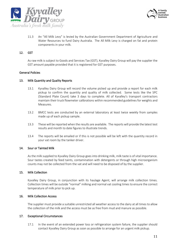



11.3 An "All Milk Levy" is levied by the Australian Government Department of Agriculture and Water Resources to fund Dairy Australia. The All Milk Levy is charged on fat and protein components in your milk.

# 12. GST

As raw milk is subject to Goods and Services Tax (GST), Kyvalley Dairy Group will pay the supplier the GST amount payable provided that it is registered for GST purposes.

#### General Policies

#### 13. Milk Quantity and Quality Reports

- 13.1 Kyvalley Dairy Group will record the volume picked up and provide a report for each milk pickup to confirm the quantity and quality of milk collected. Some tests like the SPC (Standard Plate Count) take 3 days to complete. All of Kyvalley's transport contractors maintain their truck flowmeter calibrations within recommended guidelines for weights and Measures.
- 13.2 BMCC tests are conducted by an external laboratory at least twice weekly from samples made up of each pickup sample.
- 13.3 These will be reported when the results are available. The reports will provide the latest test results and month to date figures to illustrate trends.
- 13.4 The reports will be emailed or if this is not possible will be left with the quantity record in your vat room by the tanker driver.

#### 14. Sour or Tainted Milk

As the milk supplied to Kyvalley Dairy Group goes into drinking milk, milk taste is of vital importance. Sour tastes created by feed taints, contamination with detergents or through high microorganism counts may not be collected from the vat and will need to be disposed of by the supplier.

#### 15. Milk Collection

Kyvalley Dairy Group, in conjunction with its haulage Agent, will arrange milk collection times. Collection times will be outside "normal" milking and normal vat cooling times to ensure the correct temperature of milk prior to pick up.

#### 16. Milk Collection Access

The supplier must provide a suitable unrestricted all weather access to the dairy at all times to allow the collection of the milk and the access must be as free from mud and manure as possible.

#### 17. Exceptional Circumstances

17.1 In the event of an extended power loss or refrigeration system failure, the supplier should contact Kyvalley Dairy Group as soon as possible to arrange for an urgent milk pickup.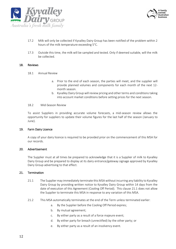



- 17.2 Milk will only be collected if Kyvalley Dairy Group has been notified of the problem within 2 hours of the milk temperature exceeding 5°C.
- 17.3 Outside this time, the milk will be sampled and tested. Only if deemed suitable, will the milk be collected.

#### 18. Reviews

- 18.1 Annual Review
	- a. Prior to the end of each season, the parties will meet, and the supplier will provide planned volumes and components for each month of the next 12 month season.
	- b. Kyvalley Dairy Group will review pricing and other terms and conditions taking into account market conditions before setting prices for the next season.

#### 18.2 Mid-Season Review

To assist Suppliers in providing accurate volume forecasts, a mid-season review allows the opportunity for suppliers to update their volume figures for the last half of the season (January to June).

#### 19. Farm Dairy Licence

A copy of your dairy licence is required to be provided prior on the commencement of this MSA for our records.

#### 20. Advertisement

The Supplier must at all times be prepared to acknowledge that it is a Supplier of milk to Kyvalley Dairy Group and be prepared to display at its dairy entrance/gateway signage approved by Kyvalley Dairy Group advertising to that effect.

#### 21. Termination

- 21.1 The Supplier may immediately terminate this MSA without incurring any liability to Kyvalley Dairy Group by providing written notice to Kyvalley Dairy Group within 14 days from the date of execution of this Agreement (Cooling Off Period). This clause 21.1 does not allow the Supplier to terminate this MSA in response to any variation of this MSA.
- 21.2 This MSA automatically terminates at the end of the Term unless terminated earlier:
	- a. By the Supplier before the Cooling Off Period expires;
	- b. By mutual agreement;
	- c. By either party as a result of a force majeure event;
	- d. By either party for breach (unrectified) by the other party; or
	- e. By either party as a result of an insolvency event.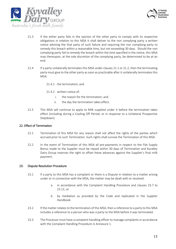



- 21.3 If the either party fails in the opinion of the other party to comply with its respective obligations in relation to this MSA it shall deliver to the non complying party a written notice advising the that party of such failure and requiring the non complying party to remedy this breach within a reasonable time, but not exceeding 30 days. Should the non complying party fail to remedy the breach within the time specified in the notice, this MSA may thereupon, at the sole discretion of the complying party, be determined to be at an end.
- 21.4 If a party unilaterally terminates this MSA under clauses 21.1 or 21.2, then the terminating party must give to the other party as soon as practicable after it unilaterally terminates this MSA:
	- 21.4.1 the termination; and
	- 21.4.2 written notice of:
		- i. the reason for the termination; and
		- ii. the day the termination takes effect.
- 21.5 This MSA will continue to apply to Milk supplied under it before the termination takes effect (including during a Cooling Off Period, or in response to a Unilateral Prospective Stepdown).

# 22. Effect of Termination

- 22.1 Termination of this MSA for any reason shall not affect the rights of the parties which accrued prior to such Termination. Such rights shall survive the Termination of this MSA.
- 22.2 In the event of Termination of this MSA all pre-payments in respect to the Flat Supply Bonus made to the Supplier must be repaid within 30 days of Termination and Kyvalley Dairy Group reserves the right to offset these advances against the Supplier's final milk payment.

#### 23. Dispute Resolution Procedure

- 23.1 If a party to this MSA has a complaint or there is a Dispute in relation to a matter arising under or in connection with the MSA, the matter may be dealt with or resolved:
	- a. in accordance with the Complaint Handling Procedure and clauses [23.7](#page-13-0) to [23.11;](#page-13-1) or
	- b. by mediation as provided by the Code and replicated in the Supplier Handbook.
- 23.2 If the matter relates to the termination of this MSA, then a reference to a party to this MSA includes a reference to a person who was a party to the MSA before it was terminated.
- 23.3 The Processor must have a complaint handling officer to manage complaints in accordance with the Complaint Handling Procedure in Annexure 1.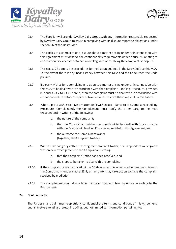



- 23.4 The Supplier will provide Kyvalley Dairy Group with any information reasonably requested by Kyvalley Dairy Group to assist in complying with its dispute reporting obligations under section 56 of the Dairy Code.
- 23.5 The parties to a complaint or a Dispute about a matter arising under or in connection with this Agreement must observe the confidentiality requirements under clause 24. relating to information disclosed or obtained in dealing with or resolving the complaint or dispute.
- 23.6 This clause 23 adopts the procedures for mediation outlined in the Dairy Code to this MSA. To the extent there is any inconsistency between this MSA and the Code, then the Code prevails.
- <span id="page-13-0"></span>23.7 If a party wishes for a complaint in relation to a matter arising under or in connection with this MSA to be dealt with in accordance with the Complaint Handling Procedure, provided in clauses 23.7 to 23.11 herein, then the complaint must be dealt with in accordance with in that procedure before the parties take action to resolve the complaint by mediation.
- 23.8 When a party wishes to have a matter dealt with in accordance to the Complaint Handling Procedure (Complainant), the Complainant must notify the other party to the MSA (Respondent) in writing of the following:
	- a. the nature of the complaint;
	- b. that the Complainant wishes the complaint to be dealt with in accordance with the Complaint Handling Procedure provided in this Agreement; and
	- c. the outcome the Complainant wants (together, the Complaint Notice).
- 23.9 Within 5 working days after receiving the Complaint Notice, the Respondent must give a written acknowledgement to the Complainant stating:
	- a. that the Complaint Notice has been received; and
	- b. the steps to be taken to deal with the complaint.
- 23.10 If the complaint is not resolved within 60 days after the acknowledgement was given to the Complainant under clause 23.9, either party may take action to have the complaint resolved by mediation
- <span id="page-13-1"></span>23.11 The Complainant may, at any time, withdraw the complaint by notice in writing to the Respondent.

# 24. Confidentiality

The Parties shall at all times keep strictly confidential the terms and conditions of this Agreement, and all matters relating thereto, including, but not limited to, information pertaining to: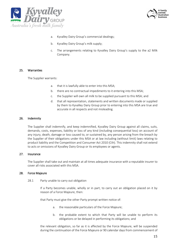



- a. Kyvalley Dairy Group's commercial dealings;
- b. Kyvalley Dairy Group's milk supply;
- c. The arrangements relating to Kyvalley Dairy Group's supply to the a2 Milk Company.

#### 25. Warranties

The Supplier warrants:

- a. that it is lawfully able to enter into this MSA;
- b. there are no contractual impediments to it entering into this MSA;
- c. the Supplier will own all milk to be supplied pursuant to this MSA; and
- d. that all representation, statements and written documents made or supplied by them to Kyvalley Dairy Group prior to entering into this MSA are true and accurate in all respects and not misleading.

#### 26. Indemnity

The Supplier shall indemnify, and keep indemnified, Kyvalley Dairy Group against all claims, suits, demands, costs, expenses, liability or loss of any kind (including consequential loss) on account of any injury, death, damage or loss caused to, or sustained by, any person arising from the breach by the Supplier of their obligations under this MSA or at law including (without limit) laws relating to product liability and the Competition and Consumer Act 2010 (Cth). This indemnity shall not extend to acts or omissions of Kyvalley Dairy Group or its employees or agents.

#### 27. Insurance

The Supplier shall take out and maintain at all times adequate insurance with a reputable insurer to cover all risks associated with this MSA.

#### 28. Force Majeure

28.1 Party unable to carry out obligation

If a Party becomes unable, wholly or in part, to carry out an obligation placed on it by reason of a Force Majeure, then:

that Party must give the other Party prompt written notice of:

- a. the reasonable particulars of the Force Majeure;
- b. the probable extent to which that Party will be unable to perform its obligations or be delayed in performing its obligations; and

the relevant obligation, so far as it is affected by the Force Majeure, will be suspended during the continuation of the Force Majeure or 90 calendar days from commencement of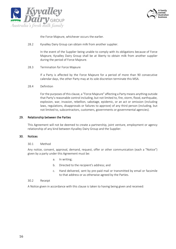



the Force Majeure, whichever occurs the earlier.

28.2 Kyvalley Dairy Group can obtain milk from another supplier.

In the event of the Supplier being unable to comply with its obligations because of Force Majeure, Kyvalley Dairy Group shall be at liberty to obtain milk from another supplier during the period of Force Majeure.

#### 28.3 Termination for Force Majeure

If a Party is affected by the Force Majeure for a period of more than 90 consecutive calendar days, the other Party may at its sole discretion terminate this MSA.

#### 28.4 Definition

For the purposes of this clause, a "Force Majeure" affecting a Party means anything outside that Party's reasonable control including, but not limited to, fire, storm, flood, earthquake, explosion, war, invasion, rebellion, sabotage, epidemic, or an act or omission (including laws, regulations, disapprovals or failures to approve) of any third person (including, but not limited to, subcontractors, customers, governments or governmental agencies).

#### 29. Relationship between the Parties

This Agreement will not be deemed to create a partnership, joint venture, employment or agency relationship of any kind between Kyvalley Dairy Group and the Supplier.

#### 30. Notices

#### 30.1 Method

Any notice, consent, approval, demand, request, offer or other communication (each a "Notice") given by a party under this Agreement must be:

- a. In writing;
- b. Directed to the recipient's address; and
- c. Hand delivered, sent by pre-paid mail or transmitted by email or facsimile to that address or as otherwise agreed by the Parties.

#### 30.2 Receipt

A Notice given in accordance with this clause is taken to having being given and received: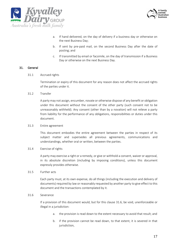



- a. If hand delivered, on the day of delivery if a business day or otherwise on the next Business Day;
- b. If sent by pre-paid mail, on the second Business Day after the date of posting; and
- c. If transmitted by email or facsimile, on the day of transmission if a Business Day or otherwise on the next Business Day.

#### 31. General

31.1 Accrued rights

Termination or expiry of this document for any reason does not affect the accrued rights of the parties under it.

31.2 Transfer

A party may not assign, encumber, novate or otherwise dispose of any benefit or obligation under this document without the consent of the other party (such consent not to be unreasonably withheld). Any consent (other than by a novation) will not relieve a party from liability for the performance of any obligations, responsibilities or duties under this document.

#### 31.3 Entire agreement

This document embodies the entire agreement between the parties in respect of its subject matter and supersedes all previous agreements, communications and understandings, whether oral or written, between the parties.

#### 31.4 Exercise of rights

A party may exercise a right or a remedy, or give or withhold a consent, waiver or approval, in its absolute discretion (including by imposing conditions), unless this document expressly provides otherwise.

## 31.5 Further acts

Each party must, at its own expense, do all things (including the execution and delivery of documents) required by law or reasonably requested by another party to give effect to this document and the transactions contemplated by it.

#### <span id="page-16-0"></span>31.6 Severance

If a provision of this document would, but for this clause [31.6,](#page-16-0) be void, unenforceable or illegal in a jurisdiction:

- a. the provision is read down to the extent necessary to avoid that result; and
- b. if the provision cannot be read down, to that extent, it is severed in that jurisdiction,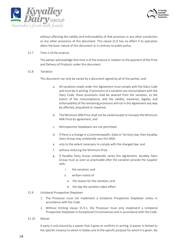



without affecting the validity and enforceability of that provision in any other jurisdiction or any other provisions of this document. This clause 31.6 has no effect if its operation alters the basic nature of this document or is contrary to public policy.

31.7 Time is of the essence

The parties acknowledge that time is of the essence in relation to the payment of the Price and Delivery of Products under this document.

31.8 Variation

This document can only be varied by a document signed by all of the parties, and:

- a. All variations made under this Agreement must comply with the Dairy Code and must be in writing. If provisions of a variation are noncompliant with the Dairy Code, those provisions shall be severed from the variation, to the extent of the noncompliance, and the validity, existence, legality and enforceability of the remaining provisions will not in this Agreement any way be affected, prejudiced or impaired;
- b. The Minimum Milk Price shall not be varied except to increase the Minimum Milk Price by agreement; and
- c. Retrospective Stepdowns are not permitted.
- d. If there is a change in a Commonwealth, State or Territory law, then Kyvalley Dairy Group may unilaterally vary this MSA:
- e. only to the extent necessary to comply with the changed law; and
- f. without reducing the Minimum Price.
- g. If Kyvalley Dairy Group unilaterally varies this Agreement, Kyvalley Dairy Group must as soon as practicable after the variation provide the Supplier with:
	- i. the variation; and
	- ii. written notice of:
		- a. the reason for the variation; and
		- b. the day the variation takes effect.
- 31.9 Unilateral Prospective Stepdown
	- 1. The Processor must not implement a Unilateral Prospective Stepdown unless in accordance with the Code.
	- 2. Without limiting clause 31.9.1, the Processor must only implement a Unilateral Prospective Stepdown in Exceptional Circumstances and in accordance with the Code.
- 31.10 Waiver

A party is only bound by a waiver that it gives or confirms in writing. A waiver is limited to the specific instance to which it relates and to the specific purpose for which it is given. No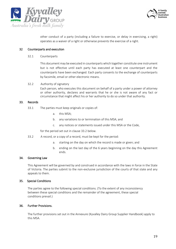



other conduct of a party (including a failure to exercise, or delay in exercising, a right) operates as a waiver of a right or otherwise prevents the exercise of a right.

#### 32 Counterparts and execution

#### 32.1 Counterparts

This document may be executed in counterparts which together constitute one instrument but is not effective until each party has executed at least one counterpart and the counterparts have been exchanged. Each party consents to the exchange of counterparts by facsimile, email or other electronic means.

#### 32.2 Authority of signatory

Each person, who executes this document on behalf of a party under a power of attorney or other authority, declares and warrants that he or she is not aware of any fact or circumstance that might affect his or her authority to do so under that authority.

#### 33. Records

- 33.1 The parties must keep originals or copies of:
	- a. this MSA;
	- b. any variations to or termination of this MSA; and
	- c. any notices or statements issued under this MSA or the Code,

for the period set out in clause 33.2 below.

- 33.2 A record, or a copy of a record, must be kept for the period:
	- a. starting on the day on which the record is made or given; and
	- b. ending on the last day of the 6 years beginning on the day this Agreement ends.

#### 34. Governing Law

This Agreement will be governed by and construed in accordance with the laws in force in the State of Victoria. The parties submit to the non-exclusive jurisdiction of the courts of that state and any appeals to them.

#### 35. Special Conditions

The parties agree to the following special conditions. (To the extent of any inconsistency between these special conditions and the remainder of the agreement, these special conditions prevail.)

#### 36. Further Provisions.

The further provisions set out in the Annexure (Kyvalley Dairy Group Supplier Handbook) apply to this MSA.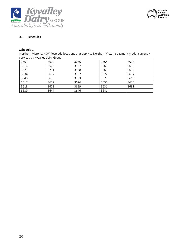



# 37. Schedules

# Schedule 1

Northern Victoria/NSW Postcode locations that apply to Northern Victoria payment model currently serviced by Kyvalley dairy Group.

| . .  |      |      |      |      |
|------|------|------|------|------|
| 3561 | 3620 | 3636 | 3564 | 3608 |
| 3616 | 3575 | 3567 | 3565 | 3610 |
| 3621 | 2731 | 3568 | 3566 | 3612 |
| 3634 | 3637 | 3562 | 3572 | 3614 |
| 3640 | 3638 | 3563 | 3573 | 3616 |
| 3617 | 3622 | 3624 | 3630 | 3635 |
| 3618 | 3623 | 3629 | 3631 | 3691 |
| 3639 | 3644 | 3646 | 3641 |      |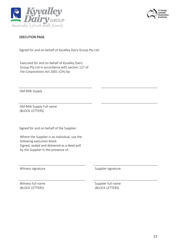



# EXECUTION PAGE

Signed for and on behalf of Kyvalley Dairy Group Pty Ltd:

Executed for and on behalf of Kyvalley Dairy Group Pty Ltd in accordance with section 127 of the Corporations Act 2001 (Cth) by:

GM Milk Supply

GM Milk Supply Full name (BLOCK LETTERS)

Signed for and on behalf of the Supplier:

Where the Supplier is an individual, use the following execution block: Signed, sealed and delivered as a deed poll by the Supplier in the presence of:

Witness signature **Supplier signature** Supplier signature

Witness full name (BLOCK LETTERS)

Supplier full name (BLOCK LETTERS)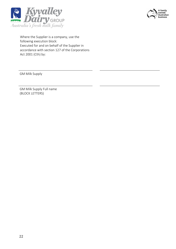



Where the Supplier is a company, use the following execution block: Executed for and on behalf of the Supplier in accordance with section 127 of the Corporations Act 2001 (Cth) by:

GM Milk Supply

GM Milk Supply Full name (BLOCK LETTERS)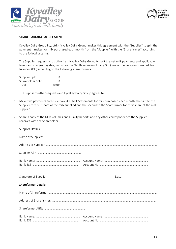



# SHARE FARMING AGREEMENT

Kyvalley Dairy Group Pty. Ltd. (Kyvalley Dairy Group) makes this agreement with the "Supplier" to split the payment it makes for milk purchased each month from the "Supplier" with the "Sharefarmer" according to the following terms.

The Supplier requests and authorises Kyvalley Dairy Group to split the net milk payments and applicable levies and charges payable, known as the Net Revenue (including GST) line of the Recipient Created Tax Invoice (RCTI) according to the following share formula:

| Supplier Split:    | $\%$ |
|--------------------|------|
| Shareholder Split: | ℅    |
| Total:             | 100% |

The Supplier further requests and Kyvalley Dairy Group agrees to:

- 1. Make two payments and issue two RCTI Milk Statements for milk purchased each month; the first to the Supplier for their share of the milk supplied and the second to the Sharefarmer for their share of the milk supplied.
- 2. Share a copy of the Milk Volumes and Quality Reports and any other correspondence the Supplier receives with the Shareholder

| Signature of Supplier:      | Date: |
|-----------------------------|-------|
| <b>Sharefarmer Details:</b> |       |
|                             |       |
|                             |       |
|                             |       |
|                             |       |